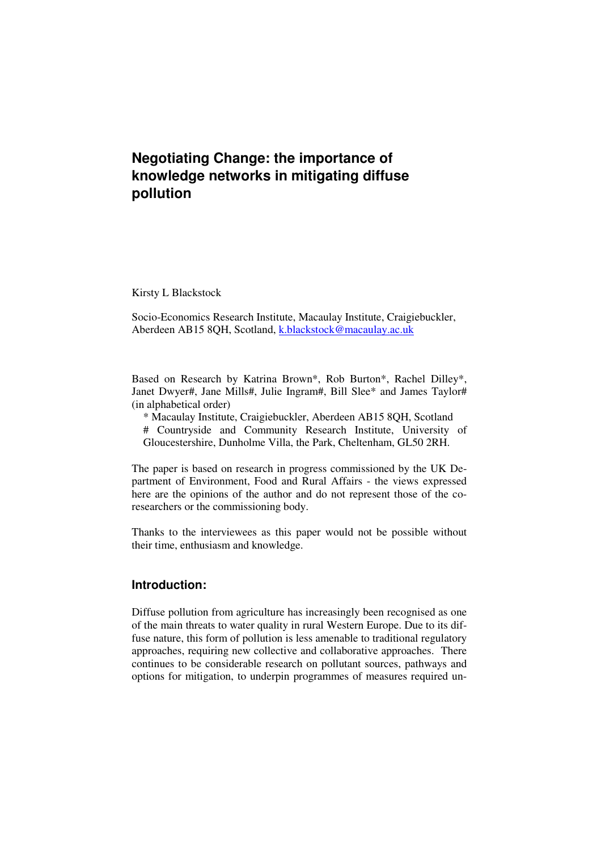Kirsty L Blackstock

Socio-Economics Research Institute, Macaulay Institute, Craigiebuckler, Aberdeen AB15 8QH, Scotland, k.blackstock@macaulay.ac.uk

Based on Research by Katrina Brown\*, Rob Burton\*, Rachel Dilley\*, Janet Dwyer#, Jane Mills#, Julie Ingram#, Bill Slee\* and James Taylor# (in alphabetical order)

- \* Macaulay Institute, Craigiebuckler, Aberdeen AB15 8QH, Scotland
- # Countryside and Community Research Institute, University of Gloucestershire, Dunholme Villa, the Park, Cheltenham, GL50 2RH.

The paper is based on research in progress commissioned by the UK Department of Environment, Food and Rural Affairs - the views expressed here are the opinions of the author and do not represent those of the coresearchers or the commissioning body.

Thanks to the interviewees as this paper would not be possible without their time, enthusiasm and knowledge.

# **Introduction:**

Diffuse pollution from agriculture has increasingly been recognised as one of the main threats to water quality in rural Western Europe. Due to its diffuse nature, this form of pollution is less amenable to traditional regulatory approaches, requiring new collective and collaborative approaches. There continues to be considerable research on pollutant sources, pathways and options for mitigation, to underpin programmes of measures required un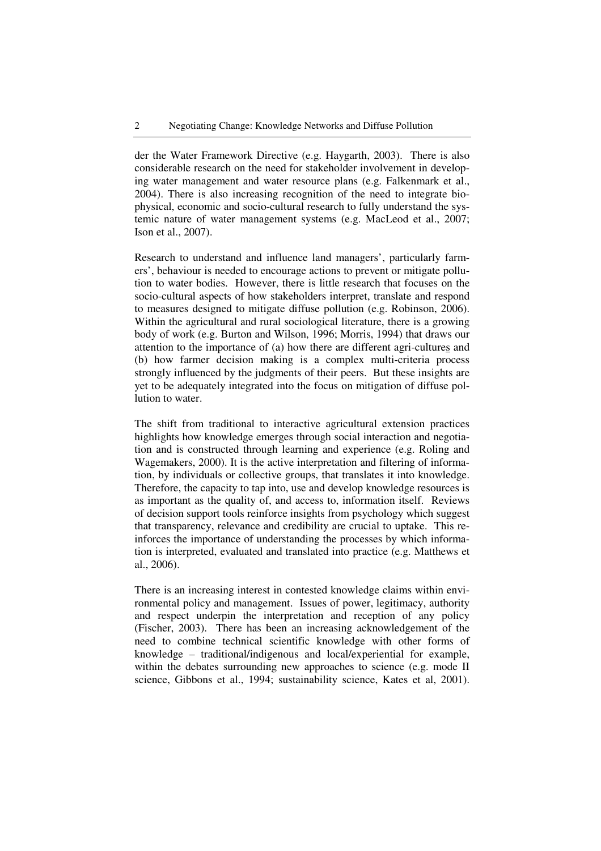der the Water Framework Directive (e.g. Haygarth, 2003). There is also considerable research on the need for stakeholder involvement in developing water management and water resource plans (e.g. Falkenmark et al., 2004). There is also increasing recognition of the need to integrate biophysical, economic and socio-cultural research to fully understand the systemic nature of water management systems (e.g. MacLeod et al., 2007; Ison et al., 2007).

Research to understand and influence land managers', particularly farmers', behaviour is needed to encourage actions to prevent or mitigate pollution to water bodies. However, there is little research that focuses on the socio-cultural aspects of how stakeholders interpret, translate and respond to measures designed to mitigate diffuse pollution (e.g. Robinson, 2006). Within the agricultural and rural sociological literature, there is a growing body of work (e.g. Burton and Wilson, 1996; Morris, 1994) that draws our attention to the importance of (a) how there are different agri-cultures and (b) how farmer decision making is a complex multi-criteria process strongly influenced by the judgments of their peers. But these insights are yet to be adequately integrated into the focus on mitigation of diffuse pollution to water.

The shift from traditional to interactive agricultural extension practices highlights how knowledge emerges through social interaction and negotiation and is constructed through learning and experience (e.g. Roling and Wagemakers, 2000). It is the active interpretation and filtering of information, by individuals or collective groups, that translates it into knowledge. Therefore, the capacity to tap into, use and develop knowledge resources is as important as the quality of, and access to, information itself. Reviews of decision support tools reinforce insights from psychology which suggest that transparency, relevance and credibility are crucial to uptake. This reinforces the importance of understanding the processes by which information is interpreted, evaluated and translated into practice (e.g. Matthews et al., 2006).

There is an increasing interest in contested knowledge claims within environmental policy and management. Issues of power, legitimacy, authority and respect underpin the interpretation and reception of any policy (Fischer, 2003). There has been an increasing acknowledgement of the need to combine technical scientific knowledge with other forms of knowledge – traditional/indigenous and local/experiential for example, within the debates surrounding new approaches to science (e.g. mode II) science, Gibbons et al., 1994; sustainability science, Kates et al, 2001).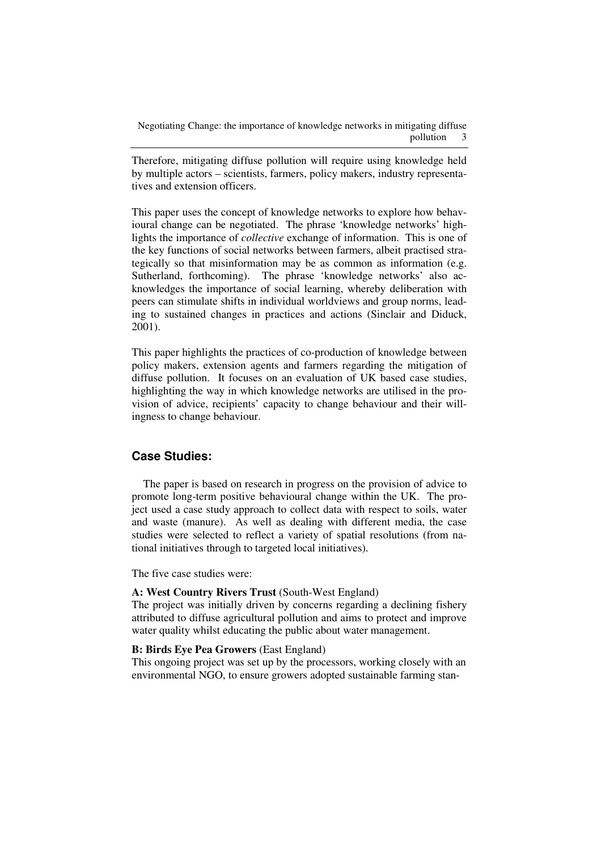Therefore, mitigating diffuse pollution will require using knowledge held by multiple actors – scientists, farmers, policy makers, industry representatives and extension officers.

This paper uses the concept of knowledge networks to explore how behavioural change can be negotiated. The phrase 'knowledge networks' highlights the importance of *collective* exchange of information. This is one of the key functions of social networks between farmers, albeit practised strategically so that misinformation may be as common as information (e.g. Sutherland, forthcoming). The phrase 'knowledge networks' also acknowledges the importance of social learning, whereby deliberation with peers can stimulate shifts in individual worldviews and group norms, leading to sustained changes in practices and actions (Sinclair and Diduck, 2001).

This paper highlights the practices of co-production of knowledge between policy makers, extension agents and farmers regarding the mitigation of diffuse pollution. It focuses on an evaluation of UK based case studies, highlighting the way in which knowledge networks are utilised in the provision of advice, recipients' capacity to change behaviour and their willingness to change behaviour.

# **Case Studies:**

The paper is based on research in progress on the provision of advice to promote long-term positive behavioural change within the UK. The project used a case study approach to collect data with respect to soils, water and waste (manure). As well as dealing with different media, the case studies were selected to reflect a variety of spatial resolutions (from national initiatives through to targeted local initiatives).

The five case studies were:

#### **A: West Country Rivers Trust** (South-West England)

The project was initially driven by concerns regarding a declining fishery attributed to diffuse agricultural pollution and aims to protect and improve water quality whilst educating the public about water management.

#### **B: Birds Eye Pea Growers** (East England)

This ongoing project was set up by the processors, working closely with an environmental NGO, to ensure growers adopted sustainable farming stan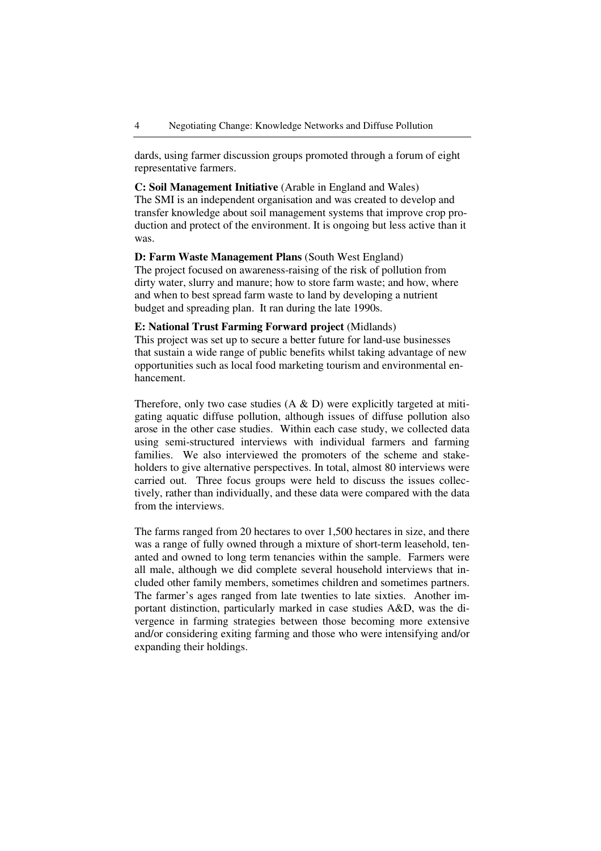dards, using farmer discussion groups promoted through a forum of eight representative farmers.

**C: Soil Management Initiative** (Arable in England and Wales) The SMI is an independent organisation and was created to develop and transfer knowledge about soil management systems that improve crop production and protect of the environment. It is ongoing but less active than it was.

**D: Farm Waste Management Plans** (South West England) The project focused on awareness-raising of the risk of pollution from dirty water, slurry and manure; how to store farm waste; and how, where and when to best spread farm waste to land by developing a nutrient budget and spreading plan. It ran during the late 1990s.

#### **E: National Trust Farming Forward project** (Midlands)

This project was set up to secure a better future for land-use businesses that sustain a wide range of public benefits whilst taking advantage of new opportunities such as local food marketing tourism and environmental enhancement.

Therefore, only two case studies  $(A \& D)$  were explicitly targeted at mitigating aquatic diffuse pollution, although issues of diffuse pollution also arose in the other case studies. Within each case study, we collected data using semi-structured interviews with individual farmers and farming families. We also interviewed the promoters of the scheme and stakeholders to give alternative perspectives. In total, almost 80 interviews were carried out. Three focus groups were held to discuss the issues collectively, rather than individually, and these data were compared with the data from the interviews.

The farms ranged from 20 hectares to over 1,500 hectares in size, and there was a range of fully owned through a mixture of short-term leasehold, tenanted and owned to long term tenancies within the sample. Farmers were all male, although we did complete several household interviews that included other family members, sometimes children and sometimes partners. The farmer's ages ranged from late twenties to late sixties. Another important distinction, particularly marked in case studies A&D, was the divergence in farming strategies between those becoming more extensive and/or considering exiting farming and those who were intensifying and/or expanding their holdings.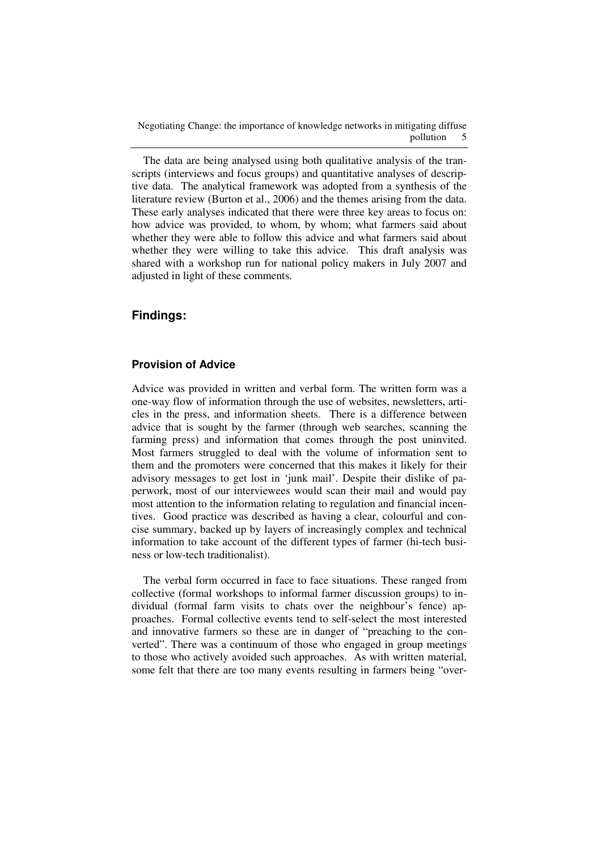The data are being analysed using both qualitative analysis of the transcripts (interviews and focus groups) and quantitative analyses of descriptive data. The analytical framework was adopted from a synthesis of the literature review (Burton et al., 2006) and the themes arising from the data. These early analyses indicated that there were three key areas to focus on: how advice was provided, to whom, by whom; what farmers said about whether they were able to follow this advice and what farmers said about whether they were willing to take this advice. This draft analysis was shared with a workshop run for national policy makers in July 2007 and adjusted in light of these comments.

# **Findings:**

#### **Provision of Advice**

Advice was provided in written and verbal form. The written form was a one-way flow of information through the use of websites, newsletters, articles in the press, and information sheets. There is a difference between advice that is sought by the farmer (through web searches, scanning the farming press) and information that comes through the post uninvited. Most farmers struggled to deal with the volume of information sent to them and the promoters were concerned that this makes it likely for their advisory messages to get lost in 'junk mail'. Despite their dislike of paperwork, most of our interviewees would scan their mail and would pay most attention to the information relating to regulation and financial incentives. Good practice was described as having a clear, colourful and concise summary, backed up by layers of increasingly complex and technical information to take account of the different types of farmer (hi-tech business or low-tech traditionalist).

The verbal form occurred in face to face situations. These ranged from collective (formal workshops to informal farmer discussion groups) to individual (formal farm visits to chats over the neighbour's fence) approaches. Formal collective events tend to self-select the most interested and innovative farmers so these are in danger of "preaching to the converted". There was a continuum of those who engaged in group meetings to those who actively avoided such approaches. As with written material, some felt that there are too many events resulting in farmers being "over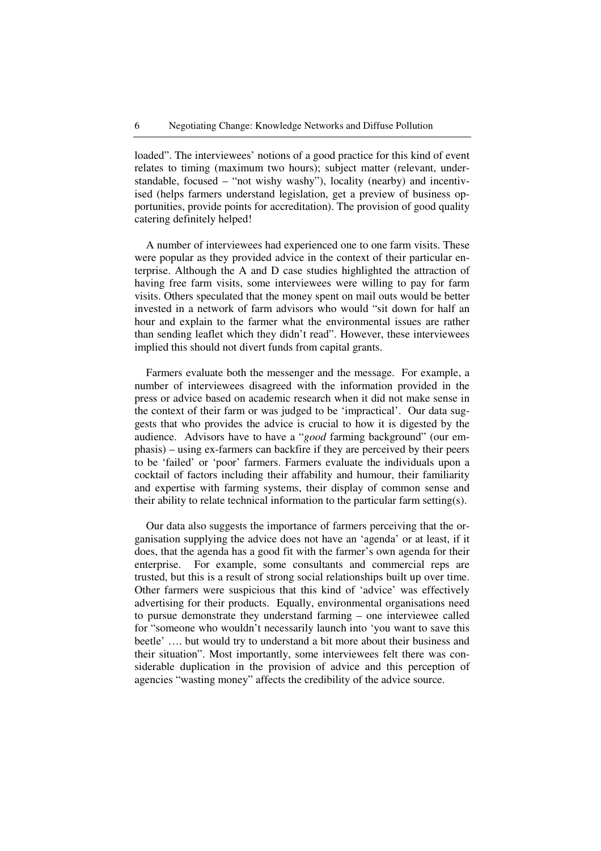loaded". The interviewees' notions of a good practice for this kind of event relates to timing (maximum two hours); subject matter (relevant, understandable, focused – "not wishy washy"), locality (nearby) and incentivised (helps farmers understand legislation, get a preview of business opportunities, provide points for accreditation). The provision of good quality catering definitely helped!

A number of interviewees had experienced one to one farm visits. These were popular as they provided advice in the context of their particular enterprise. Although the A and D case studies highlighted the attraction of having free farm visits, some interviewees were willing to pay for farm visits. Others speculated that the money spent on mail outs would be better invested in a network of farm advisors who would "sit down for half an hour and explain to the farmer what the environmental issues are rather than sending leaflet which they didn't read". However, these interviewees implied this should not divert funds from capital grants.

Farmers evaluate both the messenger and the message. For example, a number of interviewees disagreed with the information provided in the press or advice based on academic research when it did not make sense in the context of their farm or was judged to be 'impractical'. Our data suggests that who provides the advice is crucial to how it is digested by the audience. Advisors have to have a "*good* farming background" (our emphasis) – using ex-farmers can backfire if they are perceived by their peers to be 'failed' or 'poor' farmers. Farmers evaluate the individuals upon a cocktail of factors including their affability and humour, their familiarity and expertise with farming systems, their display of common sense and their ability to relate technical information to the particular farm setting(s).

Our data also suggests the importance of farmers perceiving that the organisation supplying the advice does not have an 'agenda' or at least, if it does, that the agenda has a good fit with the farmer's own agenda for their enterprise. For example, some consultants and commercial reps are trusted, but this is a result of strong social relationships built up over time. Other farmers were suspicious that this kind of 'advice' was effectively advertising for their products. Equally, environmental organisations need to pursue demonstrate they understand farming – one interviewee called for "someone who wouldn't necessarily launch into 'you want to save this beetle' …. but would try to understand a bit more about their business and their situation". Most importantly, some interviewees felt there was considerable duplication in the provision of advice and this perception of agencies "wasting money" affects the credibility of the advice source.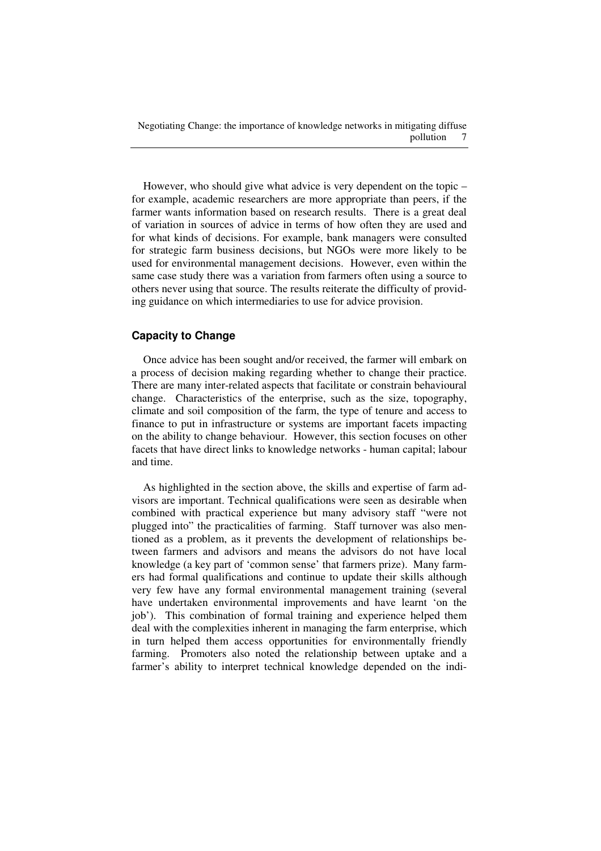However, who should give what advice is very dependent on the topic – for example, academic researchers are more appropriate than peers, if the farmer wants information based on research results. There is a great deal of variation in sources of advice in terms of how often they are used and for what kinds of decisions. For example, bank managers were consulted for strategic farm business decisions, but NGOs were more likely to be used for environmental management decisions. However, even within the same case study there was a variation from farmers often using a source to others never using that source. The results reiterate the difficulty of providing guidance on which intermediaries to use for advice provision.

## **Capacity to Change**

Once advice has been sought and/or received, the farmer will embark on a process of decision making regarding whether to change their practice. There are many inter-related aspects that facilitate or constrain behavioural change. Characteristics of the enterprise, such as the size, topography, climate and soil composition of the farm, the type of tenure and access to finance to put in infrastructure or systems are important facets impacting on the ability to change behaviour. However, this section focuses on other facets that have direct links to knowledge networks - human capital; labour and time.

As highlighted in the section above, the skills and expertise of farm advisors are important. Technical qualifications were seen as desirable when combined with practical experience but many advisory staff "were not plugged into" the practicalities of farming. Staff turnover was also mentioned as a problem, as it prevents the development of relationships between farmers and advisors and means the advisors do not have local knowledge (a key part of 'common sense' that farmers prize). Many farmers had formal qualifications and continue to update their skills although very few have any formal environmental management training (several have undertaken environmental improvements and have learnt 'on the job'). This combination of formal training and experience helped them deal with the complexities inherent in managing the farm enterprise, which in turn helped them access opportunities for environmentally friendly farming. Promoters also noted the relationship between uptake and a farmer's ability to interpret technical knowledge depended on the indi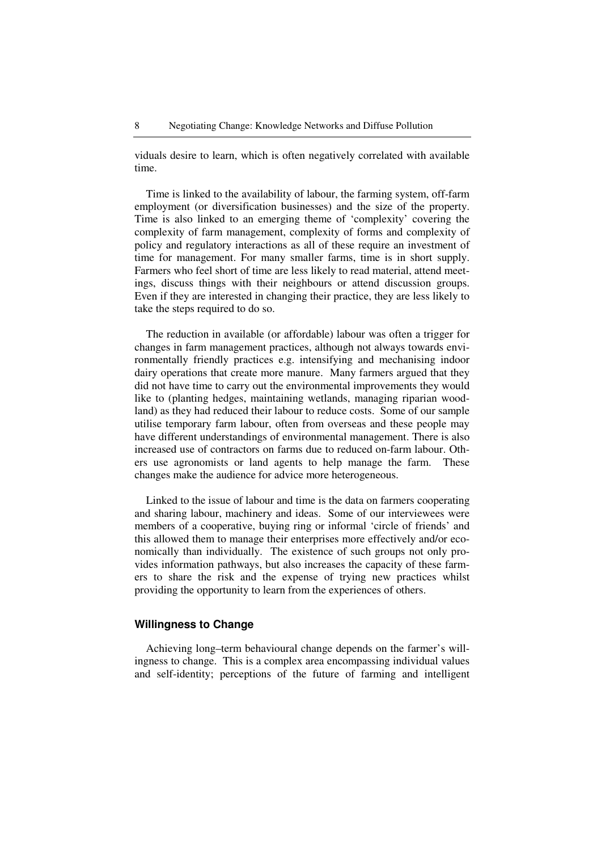viduals desire to learn, which is often negatively correlated with available time.

Time is linked to the availability of labour, the farming system, off-farm employment (or diversification businesses) and the size of the property. Time is also linked to an emerging theme of 'complexity' covering the complexity of farm management, complexity of forms and complexity of policy and regulatory interactions as all of these require an investment of time for management. For many smaller farms, time is in short supply. Farmers who feel short of time are less likely to read material, attend meetings, discuss things with their neighbours or attend discussion groups. Even if they are interested in changing their practice, they are less likely to take the steps required to do so.

The reduction in available (or affordable) labour was often a trigger for changes in farm management practices, although not always towards environmentally friendly practices e.g. intensifying and mechanising indoor dairy operations that create more manure. Many farmers argued that they did not have time to carry out the environmental improvements they would like to (planting hedges, maintaining wetlands, managing riparian woodland) as they had reduced their labour to reduce costs. Some of our sample utilise temporary farm labour, often from overseas and these people may have different understandings of environmental management. There is also increased use of contractors on farms due to reduced on-farm labour. Others use agronomists or land agents to help manage the farm. These changes make the audience for advice more heterogeneous.

Linked to the issue of labour and time is the data on farmers cooperating and sharing labour, machinery and ideas. Some of our interviewees were members of a cooperative, buying ring or informal 'circle of friends' and this allowed them to manage their enterprises more effectively and/or economically than individually. The existence of such groups not only provides information pathways, but also increases the capacity of these farmers to share the risk and the expense of trying new practices whilst providing the opportunity to learn from the experiences of others.

#### **Willingness to Change**

Achieving long–term behavioural change depends on the farmer's willingness to change. This is a complex area encompassing individual values and self-identity; perceptions of the future of farming and intelligent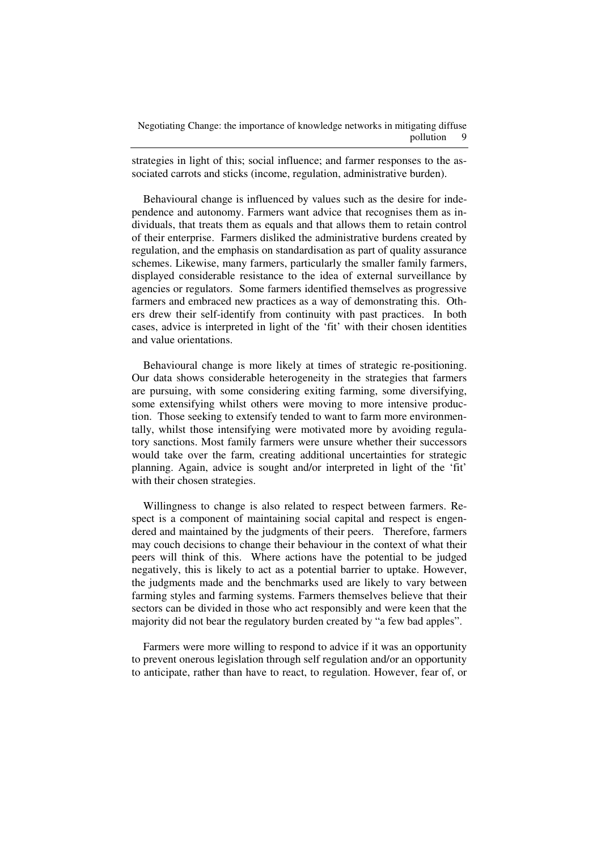strategies in light of this; social influence; and farmer responses to the associated carrots and sticks (income, regulation, administrative burden).

Behavioural change is influenced by values such as the desire for independence and autonomy. Farmers want advice that recognises them as individuals, that treats them as equals and that allows them to retain control of their enterprise. Farmers disliked the administrative burdens created by regulation, and the emphasis on standardisation as part of quality assurance schemes. Likewise, many farmers, particularly the smaller family farmers, displayed considerable resistance to the idea of external surveillance by agencies or regulators. Some farmers identified themselves as progressive farmers and embraced new practices as a way of demonstrating this. Others drew their self-identify from continuity with past practices. In both cases, advice is interpreted in light of the 'fit' with their chosen identities and value orientations.

Behavioural change is more likely at times of strategic re-positioning. Our data shows considerable heterogeneity in the strategies that farmers are pursuing, with some considering exiting farming, some diversifying, some extensifying whilst others were moving to more intensive production. Those seeking to extensify tended to want to farm more environmentally, whilst those intensifying were motivated more by avoiding regulatory sanctions. Most family farmers were unsure whether their successors would take over the farm, creating additional uncertainties for strategic planning. Again, advice is sought and/or interpreted in light of the 'fit' with their chosen strategies.

Willingness to change is also related to respect between farmers. Respect is a component of maintaining social capital and respect is engendered and maintained by the judgments of their peers. Therefore, farmers may couch decisions to change their behaviour in the context of what their peers will think of this. Where actions have the potential to be judged negatively, this is likely to act as a potential barrier to uptake. However, the judgments made and the benchmarks used are likely to vary between farming styles and farming systems. Farmers themselves believe that their sectors can be divided in those who act responsibly and were keen that the majority did not bear the regulatory burden created by "a few bad apples".

Farmers were more willing to respond to advice if it was an opportunity to prevent onerous legislation through self regulation and/or an opportunity to anticipate, rather than have to react, to regulation. However, fear of, or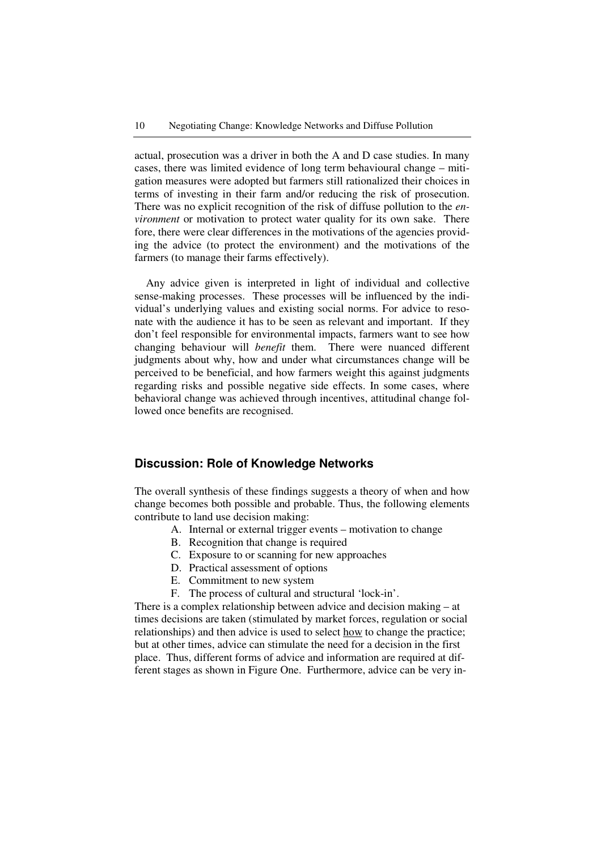actual, prosecution was a driver in both the A and D case studies. In many cases, there was limited evidence of long term behavioural change – mitigation measures were adopted but farmers still rationalized their choices in terms of investing in their farm and/or reducing the risk of prosecution. There was no explicit recognition of the risk of diffuse pollution to the *environment* or motivation to protect water quality for its own sake. There fore, there were clear differences in the motivations of the agencies providing the advice (to protect the environment) and the motivations of the farmers (to manage their farms effectively).

Any advice given is interpreted in light of individual and collective sense-making processes. These processes will be influenced by the individual's underlying values and existing social norms. For advice to resonate with the audience it has to be seen as relevant and important. If they don't feel responsible for environmental impacts, farmers want to see how changing behaviour will *benefit* them. There were nuanced different judgments about why, how and under what circumstances change will be perceived to be beneficial, and how farmers weight this against judgments regarding risks and possible negative side effects. In some cases, where behavioral change was achieved through incentives, attitudinal change followed once benefits are recognised.

## **Discussion: Role of Knowledge Networks**

The overall synthesis of these findings suggests a theory of when and how change becomes both possible and probable. Thus, the following elements contribute to land use decision making:

- A. Internal or external trigger events motivation to change
	- B. Recognition that change is required
	- C. Exposure to or scanning for new approaches
	- D. Practical assessment of options
	- E. Commitment to new system
	- F. The process of cultural and structural 'lock-in'.

There is a complex relationship between advice and decision making – at times decisions are taken (stimulated by market forces, regulation or social relationships) and then advice is used to select how to change the practice; but at other times, advice can stimulate the need for a decision in the first place. Thus, different forms of advice and information are required at different stages as shown in Figure One. Furthermore, advice can be very in-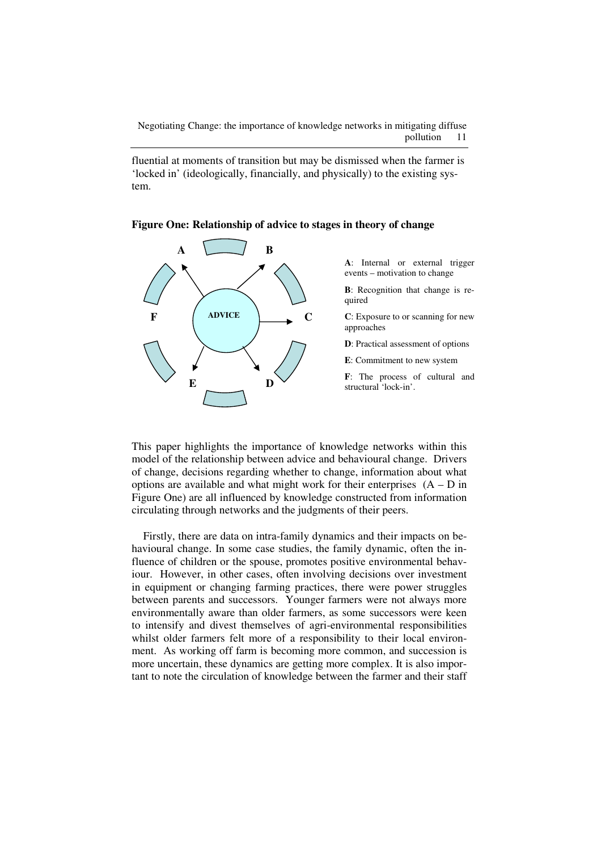fluential at moments of transition but may be dismissed when the farmer is 'locked in' (ideologically, financially, and physically) to the existing system.





This paper highlights the importance of knowledge networks within this model of the relationship between advice and behavioural change. Drivers of change, decisions regarding whether to change, information about what options are available and what might work for their enterprises  $(A - D)$  in Figure One) are all influenced by knowledge constructed from information circulating through networks and the judgments of their peers.

Firstly, there are data on intra-family dynamics and their impacts on behavioural change. In some case studies, the family dynamic, often the influence of children or the spouse, promotes positive environmental behaviour. However, in other cases, often involving decisions over investment in equipment or changing farming practices, there were power struggles between parents and successors. Younger farmers were not always more environmentally aware than older farmers, as some successors were keen to intensify and divest themselves of agri-environmental responsibilities whilst older farmers felt more of a responsibility to their local environment. As working off farm is becoming more common, and succession is more uncertain, these dynamics are getting more complex. It is also important to note the circulation of knowledge between the farmer and their staff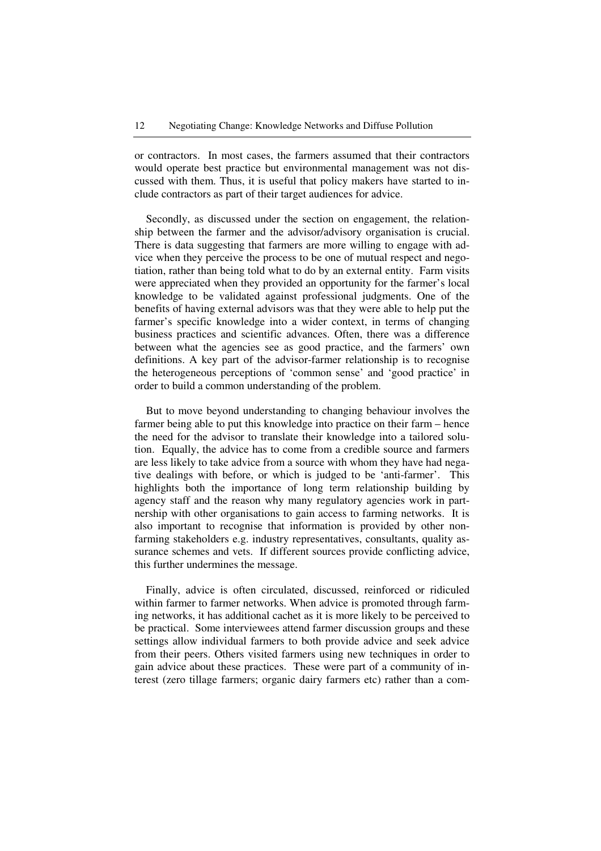or contractors. In most cases, the farmers assumed that their contractors would operate best practice but environmental management was not discussed with them. Thus, it is useful that policy makers have started to include contractors as part of their target audiences for advice.

Secondly, as discussed under the section on engagement, the relationship between the farmer and the advisor/advisory organisation is crucial. There is data suggesting that farmers are more willing to engage with advice when they perceive the process to be one of mutual respect and negotiation, rather than being told what to do by an external entity. Farm visits were appreciated when they provided an opportunity for the farmer's local knowledge to be validated against professional judgments. One of the benefits of having external advisors was that they were able to help put the farmer's specific knowledge into a wider context, in terms of changing business practices and scientific advances. Often, there was a difference between what the agencies see as good practice, and the farmers' own definitions. A key part of the advisor-farmer relationship is to recognise the heterogeneous perceptions of 'common sense' and 'good practice' in order to build a common understanding of the problem.

But to move beyond understanding to changing behaviour involves the farmer being able to put this knowledge into practice on their farm – hence the need for the advisor to translate their knowledge into a tailored solution. Equally, the advice has to come from a credible source and farmers are less likely to take advice from a source with whom they have had negative dealings with before, or which is judged to be 'anti-farmer'. This highlights both the importance of long term relationship building by agency staff and the reason why many regulatory agencies work in partnership with other organisations to gain access to farming networks. It is also important to recognise that information is provided by other nonfarming stakeholders e.g. industry representatives, consultants, quality assurance schemes and vets. If different sources provide conflicting advice, this further undermines the message.

Finally, advice is often circulated, discussed, reinforced or ridiculed within farmer to farmer networks. When advice is promoted through farming networks, it has additional cachet as it is more likely to be perceived to be practical. Some interviewees attend farmer discussion groups and these settings allow individual farmers to both provide advice and seek advice from their peers. Others visited farmers using new techniques in order to gain advice about these practices. These were part of a community of interest (zero tillage farmers; organic dairy farmers etc) rather than a com-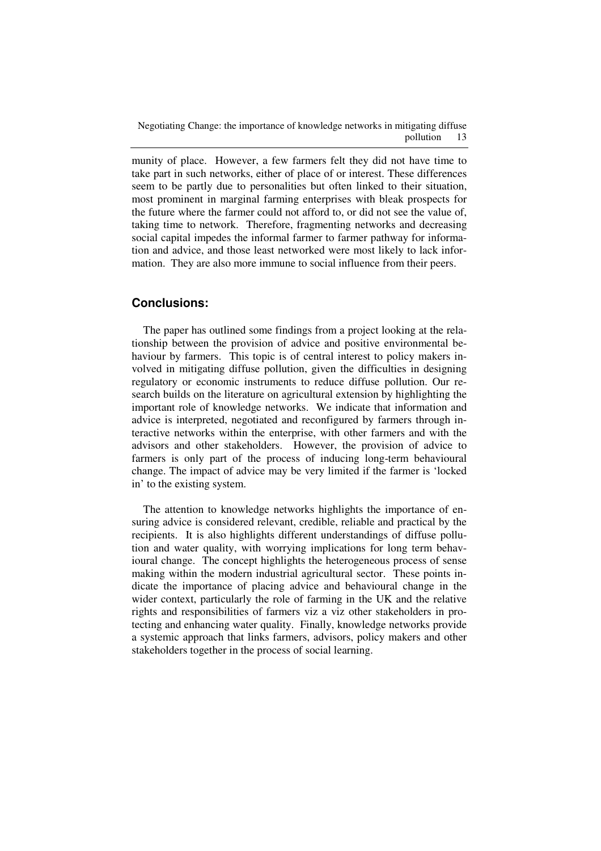munity of place. However, a few farmers felt they did not have time to take part in such networks, either of place of or interest. These differences seem to be partly due to personalities but often linked to their situation, most prominent in marginal farming enterprises with bleak prospects for the future where the farmer could not afford to, or did not see the value of, taking time to network. Therefore, fragmenting networks and decreasing social capital impedes the informal farmer to farmer pathway for information and advice, and those least networked were most likely to lack information. They are also more immune to social influence from their peers.

## **Conclusions:**

The paper has outlined some findings from a project looking at the relationship between the provision of advice and positive environmental behaviour by farmers. This topic is of central interest to policy makers involved in mitigating diffuse pollution, given the difficulties in designing regulatory or economic instruments to reduce diffuse pollution. Our research builds on the literature on agricultural extension by highlighting the important role of knowledge networks. We indicate that information and advice is interpreted, negotiated and reconfigured by farmers through interactive networks within the enterprise, with other farmers and with the advisors and other stakeholders. However, the provision of advice to farmers is only part of the process of inducing long-term behavioural change. The impact of advice may be very limited if the farmer is 'locked in' to the existing system.

The attention to knowledge networks highlights the importance of ensuring advice is considered relevant, credible, reliable and practical by the recipients. It is also highlights different understandings of diffuse pollution and water quality, with worrying implications for long term behavioural change. The concept highlights the heterogeneous process of sense making within the modern industrial agricultural sector. These points indicate the importance of placing advice and behavioural change in the wider context, particularly the role of farming in the UK and the relative rights and responsibilities of farmers viz a viz other stakeholders in protecting and enhancing water quality. Finally, knowledge networks provide a systemic approach that links farmers, advisors, policy makers and other stakeholders together in the process of social learning.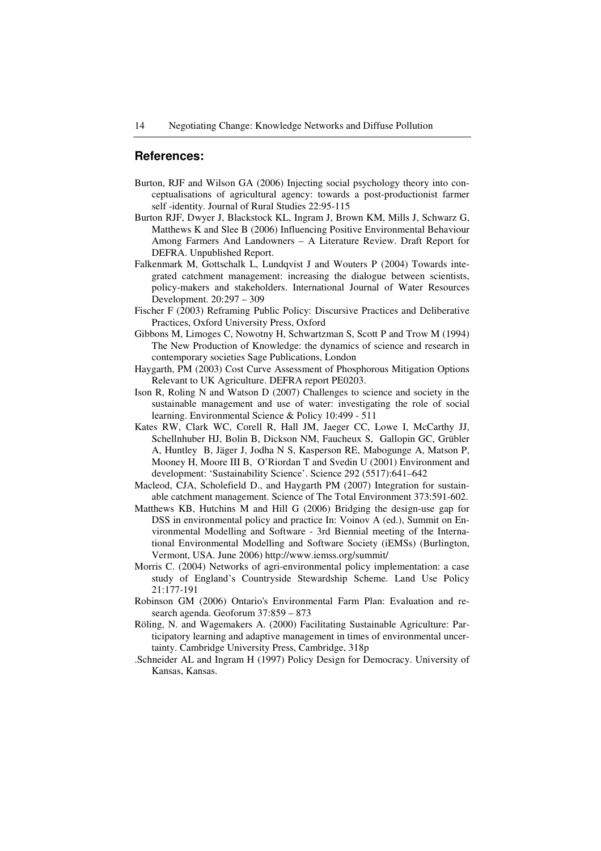#### **References:**

- Burton, RJF and Wilson GA (2006) Injecting social psychology theory into conceptualisations of agricultural agency: towards a post-productionist farmer self -identity. Journal of Rural Studies 22:95-115
- Burton RJF, Dwyer J, Blackstock KL, Ingram J, Brown KM, Mills J, Schwarz G, Matthews K and Slee B (2006) Influencing Positive Environmental Behaviour Among Farmers And Landowners – A Literature Review. Draft Report for DEFRA. Unpublished Report.
- Falkenmark M, Gottschalk L, Lundqvist J and Wouters P (2004) Towards integrated catchment management: increasing the dialogue between scientists, policy-makers and stakeholders. International Journal of Water Resources Development. 20:297 – 309
- Fischer F (2003) Reframing Public Policy: Discursive Practices and Deliberative Practices, Oxford University Press, Oxford
- Gibbons M, Limoges C, Nowotny H, Schwartzman S, Scott P and Trow M (1994) The New Production of Knowledge: the dynamics of science and research in contemporary societies Sage Publications, London
- Haygarth, PM (2003) Cost Curve Assessment of Phosphorous Mitigation Options Relevant to UK Agriculture. DEFRA report PE0203.
- Ison R, Roling N and Watson D (2007) Challenges to science and society in the sustainable management and use of water: investigating the role of social learning. Environmental Science & Policy 10:499 - 511
- Kates RW, Clark WC, Corell R, Hall JM, Jaeger CC, Lowe I, McCarthy JJ, Schellnhuber HJ, Bolin B, Dickson NM, Faucheux S, Gallopin GC, Grübler A, Huntley B, Jäger J, Jodha N S, Kasperson RE, Mabogunge A, Matson P, Mooney H, Moore III B, O'Riordan T and Svedin U (2001) Environment and development: 'Sustainability Science'. Science 292 (5517):641–642
- Macleod, CJA, Scholefield D., and Haygarth PM (2007) Integration for sustainable catchment management. Science of The Total Environment 373:591-602.
- Matthews KB, Hutchins M and Hill G (2006) Bridging the design-use gap for DSS in environmental policy and practice In: Voinov A (ed.), Summit on Environmental Modelling and Software - 3rd Biennial meeting of the International Environmental Modelling and Software Society (iEMSs) (Burlington, Vermont, USA. June 2006) http://www.iemss.org/summit/
- Morris C. (2004) Networks of agri-environmental policy implementation: a case study of England's Countryside Stewardship Scheme. Land Use Policy 21:177-191
- Robinson GM (2006) Ontario's Environmental Farm Plan: Evaluation and research agenda. Geoforum 37:859 – 873
- Röling, N. and Wagemakers A. (2000) Facilitating Sustainable Agriculture: Participatory learning and adaptive management in times of environmental uncertainty. Cambridge University Press, Cambridge, 318p
- .Schneider AL and Ingram H (1997) Policy Design for Democracy. University of Kansas, Kansas.